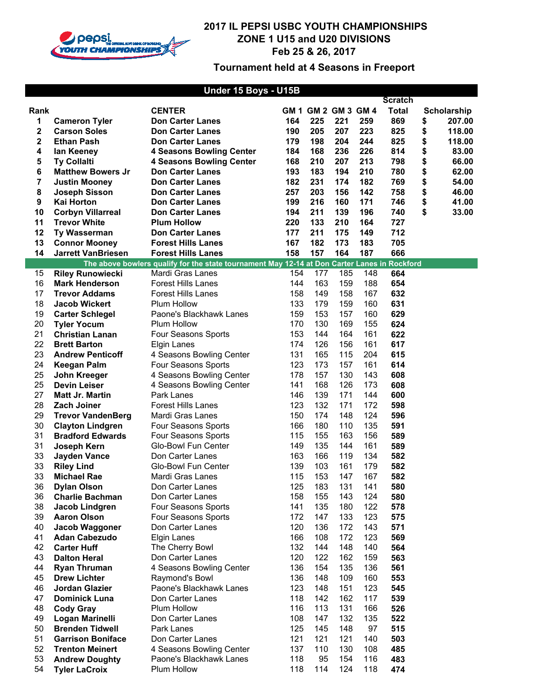

|      |                           | Under 15 Boys - U15B                                                                         |     |                     |     |     |                |                    |
|------|---------------------------|----------------------------------------------------------------------------------------------|-----|---------------------|-----|-----|----------------|--------------------|
|      |                           |                                                                                              |     |                     |     |     | <b>Scratch</b> |                    |
| Rank |                           | <b>CENTER</b>                                                                                |     | GM 1 GM 2 GM 3 GM 4 |     |     | <b>Total</b>   | <b>Scholarship</b> |
| 1    | <b>Cameron Tyler</b>      | <b>Don Carter Lanes</b>                                                                      | 164 | 225                 | 221 | 259 | 869            | \$<br>207.00       |
| 2    | <b>Carson Soles</b>       | <b>Don Carter Lanes</b>                                                                      | 190 | 205                 | 207 | 223 | 825            | \$<br>118.00       |
| 2    | <b>Ethan Pash</b>         | <b>Don Carter Lanes</b>                                                                      | 179 | 198                 | 204 | 244 | 825            | \$<br>118.00       |
| 4    | lan Keeney                | <b>4 Seasons Bowling Center</b>                                                              | 184 | 168                 | 236 | 226 | 814            | \$<br>83.00        |
| 5    | <b>Ty Collalti</b>        | <b>4 Seasons Bowling Center</b>                                                              | 168 | 210                 | 207 | 213 | 798            | \$<br>66.00        |
| 6    | <b>Matthew Bowers Jr</b>  | <b>Don Carter Lanes</b>                                                                      | 193 | 183                 | 194 | 210 | 780            | \$<br>62.00        |
| 7    | <b>Justin Mooney</b>      | <b>Don Carter Lanes</b>                                                                      | 182 | 231                 | 174 | 182 | 769            | \$<br>54.00        |
| 8    | <b>Joseph Sisson</b>      | <b>Don Carter Lanes</b>                                                                      | 257 | 203                 | 156 | 142 | 758            | \$<br>46.00        |
| 9    | Kai Horton                | <b>Don Carter Lanes</b>                                                                      | 199 | 216                 | 160 | 171 | 746            | \$<br>41.00        |
| 10   | <b>Corbyn Villarreal</b>  | <b>Don Carter Lanes</b>                                                                      | 194 | 211                 | 139 | 196 | 740            | \$<br>33.00        |
| 11   | <b>Trevor White</b>       | <b>Plum Hollow</b>                                                                           | 220 | 133                 | 210 | 164 | 727            |                    |
| 12   | Ty Wasserman              | <b>Don Carter Lanes</b>                                                                      | 177 | 211                 | 175 | 149 | 712            |                    |
| 13   | <b>Connor Mooney</b>      | <b>Forest Hills Lanes</b>                                                                    | 167 | 182                 | 173 | 183 | 705            |                    |
| 14   | <b>Jarrett VanBriesen</b> | <b>Forest Hills Lanes</b>                                                                    | 158 | 157                 | 164 | 187 | 666            |                    |
|      |                           | The above bowlers qualify for the state tournament May 12-14 at Don Carter Lanes in Rockford |     |                     |     |     |                |                    |
| 15   | <b>Riley Runowiecki</b>   | Mardi Gras Lanes                                                                             | 154 | 177                 | 185 | 148 | 664            |                    |
| 16   | <b>Mark Henderson</b>     | <b>Forest Hills Lanes</b>                                                                    | 144 | 163                 | 159 | 188 | 654            |                    |
| 17   | <b>Trevor Addams</b>      | <b>Forest Hills Lanes</b>                                                                    | 158 | 149                 | 158 | 167 | 632            |                    |
| 18   | <b>Jacob Wickert</b>      | Plum Hollow                                                                                  | 133 | 179                 | 159 | 160 | 631            |                    |
| 19   | <b>Carter Schlegel</b>    | Paone's Blackhawk Lanes                                                                      | 159 | 153                 | 157 | 160 | 629            |                    |
| 20   | <b>Tyler Yocum</b>        | Plum Hollow                                                                                  | 170 | 130                 | 169 | 155 | 624            |                    |
| 21   | <b>Christian Lanan</b>    | Four Seasons Sports                                                                          | 153 | 144                 | 164 | 161 | 622            |                    |
| 22   | <b>Brett Barton</b>       | <b>Elgin Lanes</b>                                                                           | 174 | 126                 | 156 | 161 | 617            |                    |
| 23   | <b>Andrew Penticoff</b>   | 4 Seasons Bowling Center                                                                     | 131 | 165                 | 115 | 204 | 615            |                    |
| 24   | <b>Keegan Palm</b>        | Four Seasons Sports                                                                          | 123 | 173                 | 157 | 161 | 614            |                    |
| 25   | John Kreeger              | 4 Seasons Bowling Center                                                                     | 178 | 157                 | 130 | 143 | 608            |                    |
| 25   | <b>Devin Leiser</b>       | 4 Seasons Bowling Center                                                                     | 141 | 168                 | 126 | 173 | 608            |                    |
| 27   | <b>Matt Jr. Martin</b>    | Park Lanes                                                                                   | 146 | 139                 | 171 | 144 | 600            |                    |
| 28   | Zach Joiner               | <b>Forest Hills Lanes</b>                                                                    | 123 | 132                 | 171 | 172 | 598            |                    |
| 29   | <b>Trevor VandenBerg</b>  | Mardi Gras Lanes                                                                             | 150 | 174                 | 148 | 124 | 596            |                    |
| 30   | <b>Clayton Lindgren</b>   | Four Seasons Sports                                                                          | 166 | 180                 | 110 | 135 | 591            |                    |
| 31   | <b>Bradford Edwards</b>   | Four Seasons Sports                                                                          | 115 | 155                 | 163 | 156 | 589            |                    |
| 31   | Joseph Kern               | Glo-Bowl Fun Center                                                                          | 149 | 135                 | 144 | 161 | 589            |                    |
| 33   | <b>Jayden Vance</b>       | Don Carter Lanes                                                                             | 163 | 166                 | 119 | 134 | 582            |                    |
| 33   | <b>Riley Lind</b>         | Glo-Bowl Fun Center                                                                          | 139 | 103                 | 161 | 179 | 582            |                    |
| 33   | <b>Michael Rae</b>        | Mardi Gras Lanes                                                                             | 115 | 153                 | 147 | 167 | 582            |                    |
| 36   | <b>Dylan Olson</b>        | Don Carter Lanes                                                                             | 125 | 183                 | 131 | 141 | 580            |                    |
| 36   | <b>Charlie Bachman</b>    | Don Carter Lanes                                                                             | 158 | 155                 | 143 | 124 | 580            |                    |
| 38   | Jacob Lindgren            | Four Seasons Sports                                                                          | 141 | 135                 | 180 | 122 | 578            |                    |
| 39   | <b>Aaron Olson</b>        | Four Seasons Sports                                                                          | 172 | 147                 | 133 | 123 | 575            |                    |
| 40   | Jacob Waggoner            | Don Carter Lanes                                                                             | 120 | 136                 | 172 | 143 | 571            |                    |
| 41   | <b>Adan Cabezudo</b>      | Elgin Lanes                                                                                  | 166 | 108                 | 172 | 123 | 569            |                    |
| 42   | <b>Carter Huff</b>        | The Cherry Bowl                                                                              | 132 | 144                 | 148 | 140 | 564            |                    |
| 43   | <b>Dalton Heral</b>       | Don Carter Lanes                                                                             | 120 | 122                 | 162 | 159 | 563            |                    |
| 44   | <b>Ryan Thruman</b>       | 4 Seasons Bowling Center                                                                     | 136 | 154                 | 135 | 136 | 561            |                    |
| 45   | <b>Drew Lichter</b>       | Raymond's Bowl                                                                               | 136 | 148                 | 109 | 160 | 553            |                    |
| 46   | Jordan Glazier            | Paone's Blackhawk Lanes                                                                      | 123 | 148                 | 151 | 123 | 545            |                    |
| 47   | <b>Dominick Luna</b>      | Don Carter Lanes                                                                             | 118 | 142                 | 162 | 117 | 539            |                    |
| 48   | <b>Cody Gray</b>          | Plum Hollow                                                                                  | 116 | 113                 | 131 | 166 | 526            |                    |
| 49   | Logan Marinelli           | Don Carter Lanes                                                                             | 108 | 147                 | 132 | 135 | 522            |                    |
| 50   | <b>Brenden Tidwell</b>    | Park Lanes                                                                                   | 125 | 145                 | 148 | 97  | 515            |                    |
| 51   | <b>Garrison Boniface</b>  | Don Carter Lanes                                                                             | 121 | 121                 | 121 | 140 | 503            |                    |
| 52   | <b>Trenton Meinert</b>    | 4 Seasons Bowling Center                                                                     | 137 | 110                 | 130 | 108 | 485            |                    |
| 53   | <b>Andrew Doughty</b>     | Paone's Blackhawk Lanes                                                                      | 118 | 95                  | 154 | 116 | 483            |                    |
| 54   | <b>Tyler LaCroix</b>      | Plum Hollow                                                                                  | 118 | 114                 | 124 | 118 | 474            |                    |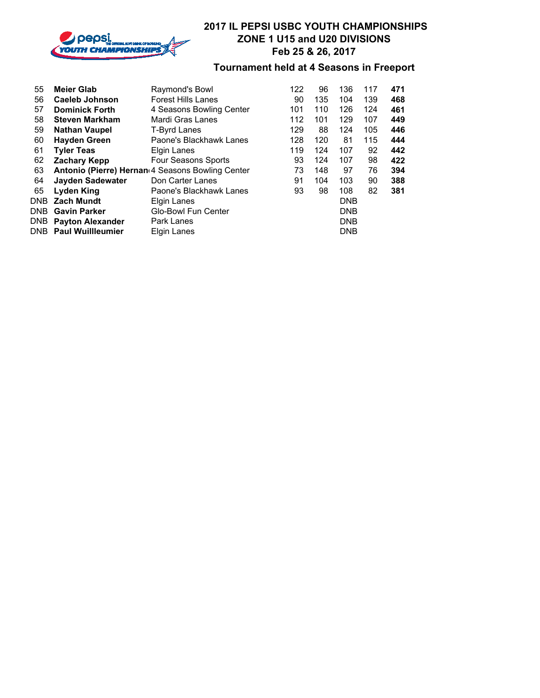

| 55  | <b>Meier Glab</b>            | Raymond's Bowl                                   | 122 | 96  | 136        | 117 | 471 |
|-----|------------------------------|--------------------------------------------------|-----|-----|------------|-----|-----|
| 56  | <b>Caeleb Johnson</b>        | <b>Forest Hills Lanes</b>                        | 90  | 135 | 104        | 139 | 468 |
| 57  | <b>Dominick Forth</b>        | 4 Seasons Bowling Center                         | 101 | 110 | 126        | 124 | 461 |
| 58  | <b>Steven Markham</b>        | Mardi Gras Lanes                                 | 112 | 101 | 129        | 107 | 449 |
| 59  | <b>Nathan Vaupel</b>         | T-Byrd Lanes                                     | 129 | 88  | 124        | 105 | 446 |
| 60  | <b>Hayden Green</b>          | Paone's Blackhawk Lanes                          | 128 | 120 | 81         | 115 | 444 |
| 61  | <b>Tyler Teas</b>            | Elgin Lanes                                      | 119 | 124 | 107        | 92  | 442 |
| 62  | <b>Zachary Kepp</b>          | Four Seasons Sports                              | 93  | 124 | 107        | 98  | 422 |
| 63  |                              | Antonio (Pierre) Hernan 4 Seasons Bowling Center | 73  | 148 | 97         | 76  | 394 |
| 64  | <b>Jayden Sadewater</b>      | Don Carter Lanes                                 | 91  | 104 | 103        | 90  | 388 |
| 65  | <b>Lyden King</b>            | Paone's Blackhawk Lanes                          | 93  | 98  | 108        | 82  | 381 |
| DNB | <b>Zach Mundt</b>            | Elgin Lanes                                      |     |     | <b>DNB</b> |     |     |
|     | <b>DNB</b> Gavin Parker      | <b>Glo-Bowl Fun Center</b>                       |     |     | <b>DNB</b> |     |     |
|     | <b>DNB</b> Payton Alexander  | Park Lanes                                       |     |     | <b>DNB</b> |     |     |
|     | <b>DNB</b> Paul Wuillleumier | Elgin Lanes                                      |     |     | <b>DNB</b> |     |     |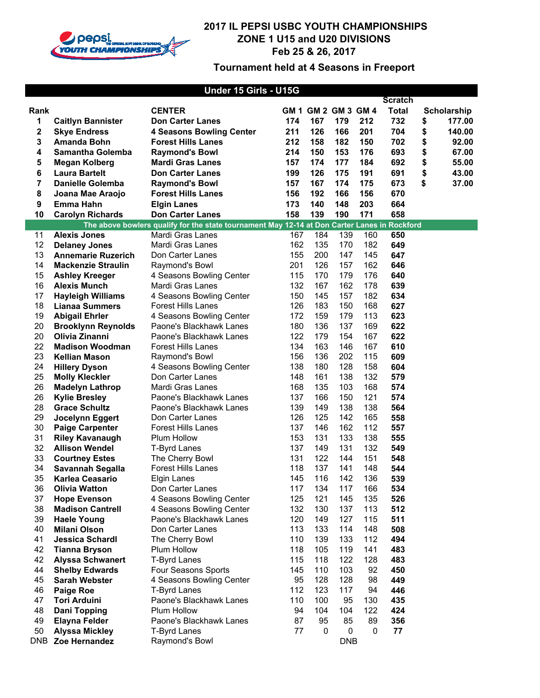

| Under 15 Girls - U15G |                           |                                                                                              |     |                     |            |     |                |    |             |
|-----------------------|---------------------------|----------------------------------------------------------------------------------------------|-----|---------------------|------------|-----|----------------|----|-------------|
|                       |                           |                                                                                              |     |                     |            |     | <b>Scratch</b> |    |             |
| Rank                  |                           | <b>CENTER</b>                                                                                |     | GM 1 GM 2 GM 3 GM 4 |            |     | <b>Total</b>   |    | Scholarship |
| 1                     | <b>Caitlyn Bannister</b>  | <b>Don Carter Lanes</b>                                                                      | 174 | 167                 | 179        | 212 | 732            | \$ | 177.00      |
| 2                     | <b>Skye Endress</b>       | <b>4 Seasons Bowling Center</b>                                                              | 211 | 126                 | 166        | 201 | 704            | \$ | 140.00      |
| 3                     | <b>Amanda Bohn</b>        | <b>Forest Hills Lanes</b>                                                                    | 212 | 158                 | 182        | 150 | 702            | \$ | 92.00       |
| 4                     | <b>Samantha Golemba</b>   | <b>Raymond's Bowl</b>                                                                        | 214 | 150                 | 153        | 176 | 693            | \$ | 67.00       |
| 5                     | Megan Kolberg             | <b>Mardi Gras Lanes</b>                                                                      | 157 | 174                 | 177        | 184 | 692            | \$ | 55.00       |
| 6                     | <b>Laura Bartelt</b>      | <b>Don Carter Lanes</b>                                                                      | 199 | 126                 | 175        | 191 | 691            | \$ | 43.00       |
| 7                     | <b>Danielle Golemba</b>   | <b>Raymond's Bowl</b>                                                                        | 157 | 167                 | 174        | 175 | 673            | \$ | 37.00       |
| 8                     | Joana Mae Araojo          | <b>Forest Hills Lanes</b>                                                                    | 156 | 192                 | 166        | 156 | 670            |    |             |
| 9                     | Emma Hahn                 | <b>Elgin Lanes</b>                                                                           | 173 | 140                 | 148        | 203 | 664            |    |             |
| 10                    | <b>Carolyn Richards</b>   | <b>Don Carter Lanes</b>                                                                      | 158 | 139                 | 190        | 171 | 658            |    |             |
|                       |                           | The above bowlers qualify for the state tournament May 12-14 at Don Carter Lanes in Rockford |     |                     |            |     |                |    |             |
| 11                    | <b>Alexis Jones</b>       | Mardi Gras Lanes                                                                             | 167 | 184                 | 139        | 160 | 650            |    |             |
| 12                    | <b>Delaney Jones</b>      | Mardi Gras Lanes                                                                             | 162 | 135                 | 170        | 182 | 649            |    |             |
| 13                    | <b>Annemarie Ruzerich</b> | Don Carter Lanes                                                                             | 155 | 200                 | 147        | 145 | 647            |    |             |
| 14                    | <b>Mackenzie Straulin</b> | Raymond's Bowl                                                                               | 201 | 126                 | 157        | 162 | 646            |    |             |
| 15                    | <b>Ashley Kreeger</b>     | 4 Seasons Bowling Center                                                                     | 115 | 170                 | 179        | 176 | 640            |    |             |
| 16                    | <b>Alexis Munch</b>       | Mardi Gras Lanes                                                                             | 132 | 167                 | 162        | 178 | 639            |    |             |
| 17                    | <b>Hayleigh Williams</b>  | 4 Seasons Bowling Center                                                                     | 150 | 145                 | 157        | 182 | 634            |    |             |
| 18                    | <b>Lianaa Summers</b>     | <b>Forest Hills Lanes</b>                                                                    | 126 | 183                 | 150        | 168 | 627            |    |             |
| 19                    | <b>Abigail Ehrler</b>     | 4 Seasons Bowling Center                                                                     | 172 | 159                 | 179        | 113 | 623            |    |             |
| 20                    | <b>Brooklynn Reynolds</b> | Paone's Blackhawk Lanes                                                                      | 180 | 136                 | 137        | 169 | 622            |    |             |
| 20                    | Olivia Zinanni            | Paone's Blackhawk Lanes                                                                      | 122 | 179                 | 154        | 167 | 622            |    |             |
| 22                    | <b>Madison Woodman</b>    | <b>Forest Hills Lanes</b>                                                                    | 134 | 163                 | 146        | 167 | 610            |    |             |
| 23                    | <b>Kellian Mason</b>      | Raymond's Bowl                                                                               | 156 | 136                 | 202        | 115 | 609            |    |             |
| 24                    | <b>Hillery Dyson</b>      | 4 Seasons Bowling Center                                                                     | 138 | 180                 | 128        | 158 | 604            |    |             |
| 25                    | <b>Molly Kleckler</b>     | Don Carter Lanes                                                                             | 148 | 161                 | 138        | 132 | 579            |    |             |
| 26                    | <b>Madelyn Lathrop</b>    | Mardi Gras Lanes                                                                             | 168 | 135                 | 103        | 168 | 574            |    |             |
| 26                    | <b>Kylie Bresley</b>      | Paone's Blackhawk Lanes                                                                      | 137 | 166                 | 150        | 121 | 574            |    |             |
| 28                    | <b>Grace Schultz</b>      | Paone's Blackhawk Lanes                                                                      | 139 | 149                 | 138        | 138 | 564            |    |             |
| 29                    | Jocelynn Eggert           | Don Carter Lanes                                                                             | 126 | 125                 | 142        | 165 | 558            |    |             |
| 30                    | <b>Paige Carpenter</b>    | <b>Forest Hills Lanes</b>                                                                    | 137 | 146                 | 162        | 112 | 557            |    |             |
| 31                    | <b>Riley Kavanaugh</b>    | <b>Plum Hollow</b>                                                                           | 153 | 131                 | 133        | 138 | 555            |    |             |
| 32                    | <b>Allison Wendel</b>     | <b>T-Byrd Lanes</b>                                                                          | 137 | 149                 | 131        | 132 | 549            |    |             |
| 33                    | <b>Courtney Estes</b>     | The Cherry Bowl                                                                              | 131 | 122                 | 144        | 151 | 548            |    |             |
| 34                    | <b>Savannah Segalla</b>   | <b>Forest Hills Lanes</b>                                                                    | 118 | 137                 | 141        | 148 | 544            |    |             |
| 35                    | Karlea Ceasario           | Elgin Lanes                                                                                  | 145 | 116                 | 142        | 136 | 539            |    |             |
| 36                    | <b>Olivia Watton</b>      | Don Carter Lanes                                                                             | 117 | 134                 | 117        | 166 | 534            |    |             |
| 37                    | <b>Hope Evenson</b>       | 4 Seasons Bowling Center                                                                     | 125 | 121                 | 145        | 135 | 526            |    |             |
| 38                    | <b>Madison Cantrell</b>   | 4 Seasons Bowling Center                                                                     | 132 | 130                 | 137        | 113 | 512            |    |             |
| 39                    | <b>Haele Young</b>        | Paone's Blackhawk Lanes                                                                      | 120 | 149                 | 127        | 115 | 511            |    |             |
| 40                    | <b>Milani Olson</b>       | Don Carter Lanes                                                                             | 113 | 133                 | 114        | 148 | 508            |    |             |
| 41                    | <b>Jessica Schardl</b>    | The Cherry Bowl                                                                              | 110 | 139                 | 133        | 112 | 494            |    |             |
| 42                    | <b>Tianna Bryson</b>      | Plum Hollow                                                                                  | 118 | 105                 | 119        | 141 | 483            |    |             |
| 42                    | <b>Alyssa Schwanert</b>   | <b>T-Byrd Lanes</b>                                                                          | 115 | 118                 | 122        | 128 | 483            |    |             |
| 44                    | <b>Shelby Edwards</b>     | Four Seasons Sports                                                                          | 145 | 110                 | 103        | 92  | 450            |    |             |
| 45                    | <b>Sarah Webster</b>      | 4 Seasons Bowling Center                                                                     | 95  | 128                 | 128        | 98  | 449            |    |             |
| 46                    | Paige Roe                 | <b>T-Byrd Lanes</b>                                                                          | 112 | 123                 | 117        | 94  | 446            |    |             |
| 47                    | <b>Tori Arduini</b>       | Paone's Blackhawk Lanes                                                                      | 110 | 100                 | 95         | 130 | 435            |    |             |
| 48                    | <b>Dani Topping</b>       | Plum Hollow                                                                                  | 94  | 104                 | 104        | 122 | 424            |    |             |
| 49                    | <b>Elayna Felder</b>      | Paone's Blackhawk Lanes                                                                      | 87  | 95                  | 85         | 89  | 356            |    |             |
| 50                    | <b>Alyssa Mickley</b>     | <b>T-Byrd Lanes</b>                                                                          | 77  | 0                   | 0          | 0   | 77             |    |             |
| DNB                   | Zoe Hernandez             | Raymond's Bowl                                                                               |     |                     | <b>DNB</b> |     |                |    |             |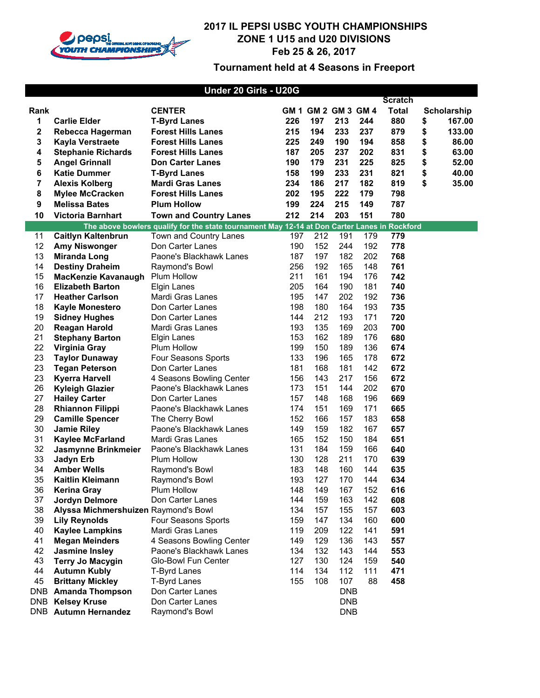

| Under 20 Girls - U20G |                                      |                                                                                              |            |     |                     |     |                |    |             |
|-----------------------|--------------------------------------|----------------------------------------------------------------------------------------------|------------|-----|---------------------|-----|----------------|----|-------------|
|                       |                                      |                                                                                              |            |     |                     |     | <b>Scratch</b> |    |             |
| Rank                  |                                      | <b>CENTER</b>                                                                                |            |     | GM 1 GM 2 GM 3 GM 4 |     | <b>Total</b>   |    | Scholarship |
| 1                     | <b>Carlie Elder</b>                  | <b>T-Byrd Lanes</b>                                                                          | 226        | 197 | 213                 | 244 | 880            | \$ | 167.00      |
| 2                     | Rebecca Hagerman                     | <b>Forest Hills Lanes</b>                                                                    | 215        | 194 | 233                 | 237 | 879            | \$ | 133.00      |
| 3                     | Kayla Verstraete                     | <b>Forest Hills Lanes</b>                                                                    | 225        | 249 | 190                 | 194 | 858            | \$ | 86.00       |
| 4                     | <b>Stephanie Richards</b>            | <b>Forest Hills Lanes</b>                                                                    | 187        | 205 | 237                 | 202 | 831            | \$ | 63.00       |
| 5                     | <b>Angel Grinnall</b>                | <b>Don Carter Lanes</b>                                                                      | 190        | 179 | 231                 | 225 | 825            | \$ | 52.00       |
| 6                     | <b>Katie Dummer</b>                  | <b>T-Byrd Lanes</b>                                                                          | 158        | 199 | 233                 | 231 | 821            | \$ | 40.00       |
| 7                     | <b>Alexis Kolberg</b>                | <b>Mardi Gras Lanes</b>                                                                      | 234        | 186 | 217                 | 182 | 819            | \$ | 35.00       |
| 8                     | <b>Mylee McCracken</b>               | <b>Forest Hills Lanes</b>                                                                    | 202        | 195 | 222                 | 179 | 798            |    |             |
| 9                     | <b>Melissa Bates</b>                 | <b>Plum Hollow</b>                                                                           | 199        | 224 | 215                 | 149 | 787            |    |             |
| 10                    | <b>Victoria Barnhart</b>             | <b>Town and Country Lanes</b>                                                                | 212        | 214 | 203                 | 151 | 780            |    |             |
|                       |                                      | The above bowlers qualify for the state tournament May 12-14 at Don Carter Lanes in Rockford |            |     |                     |     |                |    |             |
| 11                    | <b>Caitlyn Kaltenbrun</b>            | Town and Country Lanes                                                                       | 197        | 212 | 191                 | 179 | 779            |    |             |
| 12                    | <b>Amy Niswonger</b>                 | Don Carter Lanes                                                                             | 190        | 152 | 244                 | 192 | 778            |    |             |
| 13                    | <b>Miranda Long</b>                  |                                                                                              |            | 197 | 182                 | 202 | 768            |    |             |
| 14                    | <b>Destiny Draheim</b>               | Paone's Blackhawk Lanes                                                                      | 187<br>256 | 192 | 165                 | 148 | 761            |    |             |
| 15                    | MacKenzie Kavanaugh                  | Raymond's Bowl<br>Plum Hollow                                                                | 211        | 161 | 194                 | 176 | 742            |    |             |
| 16                    | <b>Elizabeth Barton</b>              | <b>Elgin Lanes</b>                                                                           | 205        | 164 | 190                 | 181 | 740            |    |             |
| 17                    | <b>Heather Carlson</b>               | Mardi Gras Lanes                                                                             | 195        | 147 | 202                 | 192 | 736            |    |             |
| 18                    | <b>Kayle Monestero</b>               | Don Carter Lanes                                                                             | 198        | 180 | 164                 | 193 | 735            |    |             |
| 19                    | <b>Sidney Hughes</b>                 | Don Carter Lanes                                                                             | 144        | 212 | 193                 | 171 | 720            |    |             |
| 20                    | <b>Reagan Harold</b>                 | Mardi Gras Lanes                                                                             | 193        | 135 | 169                 | 203 | 700            |    |             |
| 21                    | <b>Stephany Barton</b>               | Elgin Lanes                                                                                  | 153        | 162 | 189                 | 176 | 680            |    |             |
| 22                    | <b>Virginia Gray</b>                 | Plum Hollow                                                                                  | 199        | 150 | 189                 | 136 | 674            |    |             |
| 23                    | <b>Taylor Dunaway</b>                | Four Seasons Sports                                                                          | 133        | 196 | 165                 | 178 | 672            |    |             |
| 23                    | <b>Tegan Peterson</b>                | Don Carter Lanes                                                                             | 181        | 168 | 181                 | 142 | 672            |    |             |
| 23                    | <b>Kyerra Harvell</b>                | 4 Seasons Bowling Center                                                                     | 156        | 143 | 217                 | 156 | 672            |    |             |
| 26                    | <b>Kyleigh Glazier</b>               | Paone's Blackhawk Lanes                                                                      | 173        | 151 | 144                 | 202 | 670            |    |             |
| 27                    | <b>Hailey Carter</b>                 | Don Carter Lanes                                                                             | 157        | 148 | 168                 | 196 | 669            |    |             |
| 28                    | <b>Rhiannon Filippi</b>              | Paone's Blackhawk Lanes                                                                      | 174        | 151 | 169                 | 171 | 665            |    |             |
| 29                    | <b>Camille Spencer</b>               | The Cherry Bowl                                                                              | 152        | 166 | 157                 | 183 | 658            |    |             |
| 30                    | <b>Jamie Riley</b>                   | Paone's Blackhawk Lanes                                                                      | 149        | 159 | 182                 | 167 | 657            |    |             |
| 31                    | <b>Kaylee McFarland</b>              | Mardi Gras Lanes                                                                             | 165        | 152 | 150                 | 184 | 651            |    |             |
| 32                    | Jasmynne Brinkmeier                  | Paone's Blackhawk Lanes                                                                      | 131        | 184 | 159                 | 166 | 640            |    |             |
| 33                    | Jadyn Erb                            | <b>Plum Hollow</b>                                                                           | 130        | 128 | 211                 | 170 | 639            |    |             |
| 34                    | <b>Amber Wells</b>                   | Raymond's Bowl                                                                               | 183        | 148 | 160                 | 144 | 635            |    |             |
| 35                    | Kaitlin Kleimann                     | Raymond's Bowl                                                                               | 193        | 127 | 170                 | 144 | 634            |    |             |
| 36                    | <b>Kerina Gray</b>                   | Plum Hollow                                                                                  | 148        | 149 | 167                 | 152 | 616            |    |             |
| 37                    | Jordyn Delmore                       | Don Carter Lanes                                                                             | 144        | 159 | 163                 | 142 | 608            |    |             |
| 38                    | Alyssa Michmershuizen Raymond's Bowl |                                                                                              | 134        | 157 | 155                 | 157 | 603            |    |             |
| 39                    | <b>Lily Reynolds</b>                 | Four Seasons Sports                                                                          | 159        | 147 | 134                 | 160 | 600            |    |             |
| 40                    | <b>Kaylee Lampkins</b>               | Mardi Gras Lanes                                                                             | 119        | 209 | 122                 | 141 | 591            |    |             |
| 41                    | <b>Megan Meinders</b>                | 4 Seasons Bowling Center                                                                     | 149        | 129 | 136                 | 143 | 557            |    |             |
| 42                    | <b>Jasmine Insley</b>                | Paone's Blackhawk Lanes                                                                      | 134        | 132 | 143                 | 144 | 553            |    |             |
| 43                    | <b>Terry Jo Macygin</b>              | Glo-Bowl Fun Center                                                                          | 127        | 130 | 124                 | 159 | 540            |    |             |
| 44                    | <b>Autumn Kubly</b>                  | <b>T-Byrd Lanes</b>                                                                          | 114        | 134 | 112                 | 111 | 471            |    |             |
| 45                    | <b>Brittany Mickley</b>              | <b>T-Byrd Lanes</b>                                                                          | 155        | 108 | 107                 | 88  | 458            |    |             |
|                       | <b>DNB</b> Amanda Thompson           | Don Carter Lanes                                                                             |            |     | <b>DNB</b>          |     |                |    |             |
| DNB                   | <b>Kelsey Kruse</b>                  | Don Carter Lanes                                                                             |            |     | <b>DNB</b>          |     |                |    |             |
|                       | <b>DNB</b> Autumn Hernandez          | Raymond's Bowl                                                                               |            |     | <b>DNB</b>          |     |                |    |             |